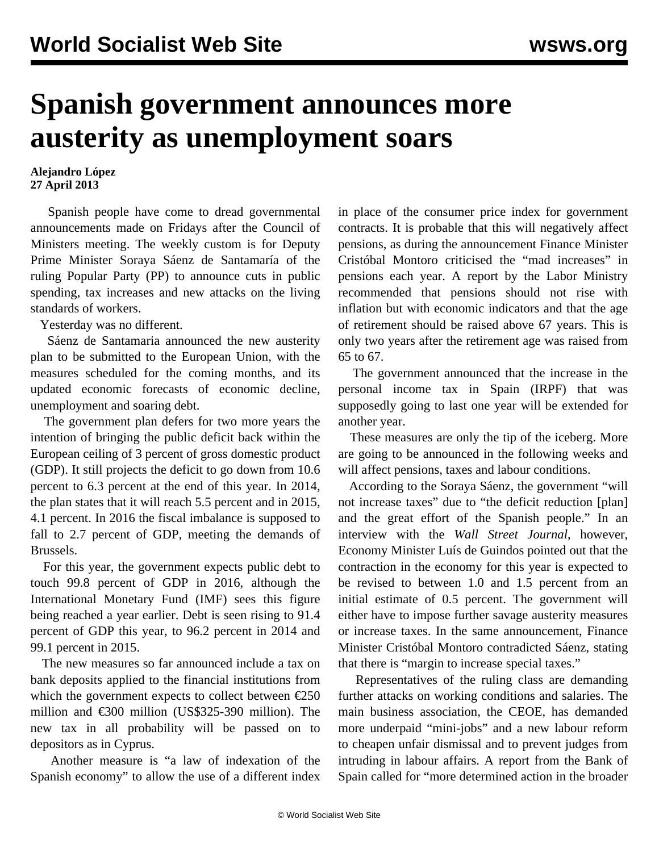## **Spanish government announces more austerity as unemployment soars**

## **Alejandro López 27 April 2013**

 Spanish people have come to dread governmental announcements made on Fridays after the Council of Ministers meeting. The weekly custom is for Deputy Prime Minister Soraya Sáenz de Santamaría of the ruling Popular Party (PP) to announce cuts in public spending, tax increases and new attacks on the living standards of workers.

Yesterday was no different.

 Sáenz de Santamaria announced the new austerity plan to be submitted to the European Union, with the measures scheduled for the coming months, and its updated economic forecasts of economic decline, unemployment and soaring debt.

 The government plan defers for two more years the intention of bringing the public deficit back within the European ceiling of 3 percent of gross domestic product (GDP). It still projects the deficit to go down from 10.6 percent to 6.3 percent at the end of this year. In 2014, the plan states that it will reach 5.5 percent and in 2015, 4.1 percent. In 2016 the fiscal imbalance is supposed to fall to 2.7 percent of GDP, meeting the demands of Brussels.

 For this year, the government expects public debt to touch 99.8 percent of GDP in 2016, although the International Monetary Fund (IMF) sees this figure being reached a year earlier. Debt is seen rising to 91.4 percent of GDP this year, to 96.2 percent in 2014 and 99.1 percent in 2015.

 The new measures so far announced include a tax on bank deposits applied to the financial institutions from which the government expects to collect between  $\epsilon$ 250 million and €300 million (US\$325-390 million). The new tax in all probability will be passed on to depositors as in Cyprus.

 Another measure is "a law of indexation of the Spanish economy" to allow the use of a different index in place of the consumer price index for government contracts. It is probable that this will negatively affect pensions, as during the announcement Finance Minister Cristóbal Montoro criticised the "mad increases" in pensions each year. A report by the Labor Ministry recommended that pensions should not rise with inflation but with economic indicators and that the age of retirement should be raised above 67 years. This is only two years after the retirement age was raised from 65 to 67.

 The government announced that the increase in the personal income tax in Spain (IRPF) that was supposedly going to last one year will be extended for another year.

 These measures are only the tip of the iceberg. More are going to be announced in the following weeks and will affect pensions, taxes and labour conditions.

 According to the Soraya Sáenz, the government "will not increase taxes" due to "the deficit reduction [plan] and the great effort of the Spanish people." In an interview with the *Wall Street Journal*, however, Economy Minister Luís de Guindos pointed out that the contraction in the economy for this year is expected to be revised to between 1.0 and 1.5 percent from an initial estimate of 0.5 percent. The government will either have to impose further savage austerity measures or increase taxes. In the same announcement, Finance Minister Cristóbal Montoro contradicted Sáenz, stating that there is "margin to increase special taxes."

 Representatives of the ruling class are demanding further attacks on working conditions and salaries. The main business association, the CEOE, has demanded more underpaid "mini-jobs" and a new labour reform to cheapen unfair dismissal and to prevent judges from intruding in labour affairs. A report from the Bank of Spain called for "more determined action in the broader